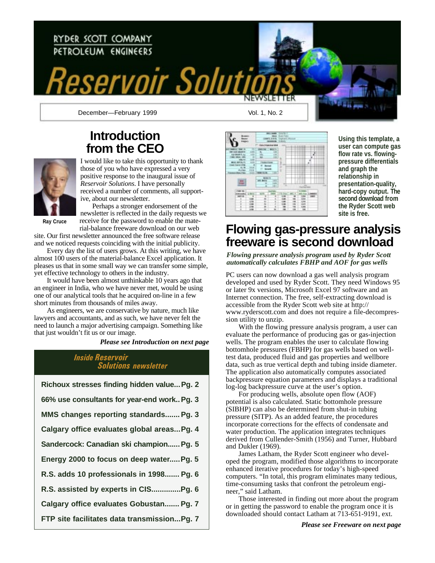# RYDER SCOTT COMPANY PETROLEUM ENGINEERS ervoir Solu December—February 1999 Vol. 1, No. 2

## **Introduction from the CEO**



I would like to take this opportunity to thank those of you who have expressed a very positive response to the inaugural issue of *Reservoir Solutions*. I have personally received a number of comments, all supportive, about our newsletter.

Perhaps a stronger endorsement of the newsletter is reflected in the daily requests we

**Ray Cruce**

receive for the password to enable the material-balance freeware download on our web site. Our first newsletter announced the free software release and we noticed requests coinciding with the initial publicity.

Every day the list of users grows. At this writing, we have almost 100 users of the material-balance Excel application. It pleases us that in some small way we can transfer some simple, yet effective technology to others in the industry.

It would have been almost unthinkable 10 years ago that an engineer in India, who we have never met, would be using one of our analytical tools that he acquired on-line in a few short minutes from thousands of miles away.

As engineers, we are conservative by nature, much like lawyers and accountants, and as such, we have never felt the need to launch a major advertising campaign. Something like that just wouldn't fit us or our image.

*Please see Introduction on next page*

#### Inside Reservoir Solutions newsletter

| Richoux stresses finding hidden value Pg. 2 |
|---------------------------------------------|
| 66% use consultants for year-end work Pg. 3 |
| MMS changes reporting standards Pg. 3       |
| Calgary office evaluates global areasPg. 4  |
| Sandercock: Canadian ski champion Pg. 5     |
| Energy 2000 to focus on deep water Pg. 5    |
| R.S. adds 10 professionals in 1998 Pg. 6    |
| R.S. assisted by experts in CISPg. 6        |
| Calgary office evaluates Gobustan Pg. 7     |
| FTP site facilitates data transmissionPg. 7 |
|                                             |



**Using this template, a user can compute gas flow rate vs. flowingpressure differentials and graph the relationship in presentation-quality, hard-copy output. The second download from the Ryder Scott web site is free.**

### **Flowing gas-pressure analysis freeware is second download**

*Flowing pressure analysis program used by Ryder Scott automatically calculates FBHP and AOF for gas wells*

PC users can now download a gas well analysis program developed and used by Ryder Scott. They need Windows 95 or later 9x versions, Microsoft Excel 97 software and an Internet connection. The free, self-extracting download is accessible from the Ryder Scott web site at http:// www.ryderscott.com and does not require a file-decompression utility to unzip.

With the flowing pressure analysis program, a user can evaluate the performance of producing gas or gas-injection wells. The program enables the user to calculate flowing bottomhole pressures (FBHP) for gas wells based on welltest data, produced fluid and gas properties and wellbore data, such as true vertical depth and tubing inside diameter. The application also automatically computes associated backpressure equation parameters and displays a traditional log-log backpressure curve at the user's option.

For producing wells, absolute open flow (AOF) potential is also calculated. Static bottomhole pressure (SIBHP) can also be determined from shut-in tubing pressure (SITP). As an added feature, the procedures incorporate corrections for the effects of condensate and water production. The application integrates techniques derived from Cullender-Smith (1956) and Turner, Hubbard and Dukler (1969).

James Latham, the Ryder Scott engineer who developed the program, modified those algorithms to incorporate enhanced iterative procedures for today's high-speed computers. "In total, this program eliminates many tedious, time-consuming tasks that confront the petroleum engineer," said Latham.

Those interested in finding out more about the program or in getting the password to enable the program once it is downloaded should contact Latham at 713-651-9191, ext.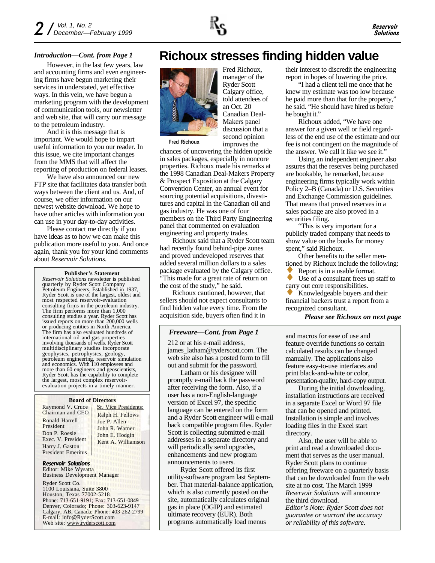#### *Introduction—Cont. from Page 1*

However, in the last few years, law and accounting firms and even engineering firms have begun marketing their services in understated, yet effective ways. In this vein, we have begun a marketing program with the development of communication tools, our newsletter and web site, that will carry our message to the petroleum industry.

And it is this message that is important. We would hope to impart useful information to you our reader. In this issue, we cite important changes from the MMS that will affect the reporting of production on federal leases.

We have also announced our new FTP site that facilitates data transfer both ways between the client and us. And, of course, we offer information on our newest website download. We hope to have other articles with information you can use in your day-to-day activities.

Please contact me directly if you have ideas as to how we can make this publication more useful to you. And once again, thank you for your kind comments about *Reservoir Solutions*.

#### **Publisher's Statement**

*Reservoir Solutions* newsletter is published quarterly by Ryder Scott Company Petroleum Engineers. Established in 1937, Ryder Scott is one of the largest, oldest and most respected reservoir-evaluation consulting firms in the petroleum industry. The firm performs more than 1,000 consulting studies a year. Ryder Scott has issued reports on more than 200,000 wells or producing entities in North America. The firm has also evaluated hundreds of international oil and gas properties involving thousands of wells. Ryder Scott multidisciplinary studies incorporate geophysics, petrophysics, geology, petroleum engineering, reservoir simulation and economics. With 110 employees and more than 60 engineers and geoscientists, Ryder Scott has the capability to complete the largest, most complex reservoirevaluation projects in a timely manner.

#### **Board of Directors**

Raymond V. Cruce Chairman and CEO Ronald Harrell President Don P. Roesle Exec. V. President Harry J. Gaston President Emeritus

Sr. Vice Presidents: Ralph H. Fellows Joe P. Allen John R. Warner John E. Hodgin Kent A. Williamson

#### Reservoir Solutions

Editor: Mike Wysatta Business Development Manager

Ryder Scott Co. 1100 Louisiana, Suite 3800 Houston, Texas 77002-5218 Phone: 713-651-9191; Fax: 713-651-0849 Denver, Colorado; Phone: 303-623-9147 Calgary, AB, Canada; Phone: 403-262-2799 E-mail: info@RyderScott.com Web site: www.ryderscott.com

### **Richoux stresses finding hidden value**



Fred Richoux, manager of the Ryder Scott Calgary office, told attendees of an Oct. 20 Canadian Deal-Makers panel discussion that a second opinion improves the

**Fred Richoux**

chances of uncovering the hidden upside in sales packages, especially in noncore properties. Richoux made his remarks at the 1998 Canadian Deal-Makers Property & Prospect Exposition at the Calgary Convention Center, an annual event for sourcing potential acquisitions, divestitures and capital in the Canadian oil and gas industry. He was one of four members on the Third Party Engineering panel that commented on evaluation engineering and property trades.

Richoux said that a Ryder Scott team had recently found behind-pipe zones and proved undeveloped reserves that added several million dollars to a sales package evaluated by the Calgary office. "This made for a great rate of return on the cost of the study," he said.

Richoux cautioned, however, that sellers should not expect consultants to find hidden value every time. From the acquisition side, buyers often find it in

#### *Freeware—Cont. from Page 1*

212 or at his e-mail address, james\_latham@ryderscott.com. The web site also has a posted form to fill out and submit for the password.

Latham or his designee will promptly e-mail back the password after receiving the form. Also, if a user has a non-English-language version of Excel 97, the specific language can be entered on the form and a Ryder Scott engineer will e-mail back compatible program files. Ryder Scott is collecting submitted e-mail addresses in a separate directory and will periodically send upgrades, enhancements and new program announcements to users.

Ryder Scott offered its first utility-software program last September. That material-balance application, which is also currently posted on the site, automatically calculates original gas in place (OGIP) and estimated ultimate recovery (EUR). Both programs automatically load menus

their interest to discredit the engineering report in hopes of lowering the price.

"I had a client tell me once that he knew my estimate was too low because he paid more than that for the property," he said. "He should have hired us before he bought it."

Richoux added, "We have one answer for a given well or field regardless of the end use of the estimate and our fee is not contingent on the magnitude of the answer. We call it like we see it."

Using an independent engineer also assures that the reserves being purchased are bookable, he remarked, because engineering firms typically work within Policy 2–B (Canada) or U.S. Securities and Exchange Commission guidelines. That means that proved reserves in a sales package are also proved in a securities filing.

"This is very important for a publicly traded company that needs to show value on the books for money spent," said Richoux.

Other benefits to the seller mentioned by Richoux include the following:

Report is in a usable format.

Use of a consultant frees up staff to carry out core responsibilities.

Knowledgeable buyers and their financial backers trust a report from a recognized consultant.

#### *Please see Richoux on next page*

and macros for ease of use and feature override functions so certain calculated results can be changed manually. The applications also feature easy-to-use interfaces and print black-and-white or color, presentation-quality, hard-copy output.

During the initial downloading, installation instructions are received in a separate Excel or Word 97 file that can be opened and printed. Installation is simple and involves loading files in the Excel start directory.

Also, the user will be able to print and read a downloaded document that serves as the user manual. Ryder Scott plans to continue offering freeware on a quarterly basis that can be downloaded from the web site at no cost. The March 1999 *Reservoir Solutions* will announce the third download. *Editor's Note: Ryder Scott does not guarantee or warrant the accuracy or reliability of this software.*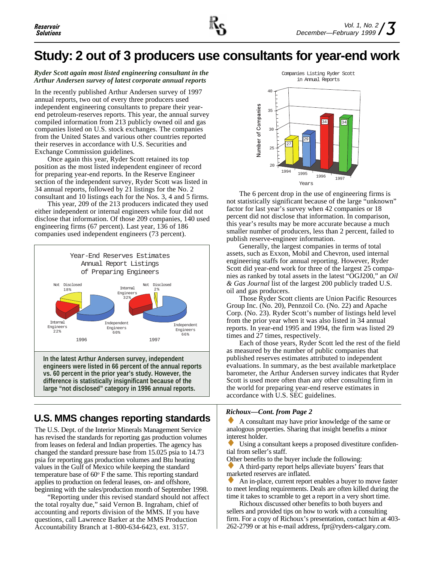## **Study: 2 out of 3 producers use consultants for year-end work**

#### *Ryder Scott again most listed engineering consultant in the Arthur Andersen survey of latest corporate annual reports*

In the recently published Arthur Andersen survey of 1997 annual reports, two out of every three producers used independent engineering consultants to prepare their yearend petroleum-reserves reports. This year, the annual survey compiled information from 213 publicly owned oil and gas companies listed on U.S. stock exchanges. The companies from the United States and various other countries reported their reserves in accordance with U.S. Securities and Exchange Commission guidelines.

Once again this year, Ryder Scott retained its top position as the most listed independent engineer of record for preparing year-end reports. In the Reserve Engineer section of the independent survey, Ryder Scott was listed in 34 annual reports, followed by 21 listings for the No. 2 consultant and 10 listings each for the Nos. 3, 4 and 5 firms.

This year, 209 of the 213 producers indicated they used either independent or internal engineers while four did not disclose that information. Of those 209 companies, 140 used engineering firms (67 percent). Last year, 136 of 186 companies used independent engineers (73 percent).



**In the latest Arthur Andersen survey, independent engineers were listed in 66 percent of the annual reports vs. 60 percent in the prior year's study. However, the difference is statistically insignificant because of the large "not disclosed" category in 1996 annual reports.**

### **U.S. MMS changes reporting standards**

The U.S. Dept. of the Interior Minerals Management Service has revised the standards for reporting gas production volumes from leases on federal and Indian properties. The agency has changed the standard pressure base from 15.025 psia to 14.73 psia for reporting gas production volumes and Btu heating values in the Gulf of Mexico while keeping the standard temperature base of 60° F the same. This reporting standard applies to production on federal leases, on- and offshore, beginning with the sales/production month of September 1998.

"Reporting under this revised standard should not affect the total royalty due," said Vernon B. Ingraham, chief of accounting and reports division of the MMS. If you have questions, call Lawrence Barker at the MMS Production Accountability Branch at 1-800-634-6423, ext. 3157.



The 6 percent drop in the use of engineering firms is not statistically significant because of the large "unknown" factor for last year's survey when 42 companies or 18 percent did not disclose that information. In comparison, this year's results may be more accurate because a much smaller number of producers, less than 2 percent, failed to publish reserve-engineer information.

Generally, the largest companies in terms of total assets, such as Exxon, Mobil and Chevron, used internal engineering staffs for annual reporting. However, Ryder Scott did year-end work for three of the largest 25 companies as ranked by total assets in the latest "OGJ200," an *Oil & Gas Journal* list of the largest 200 publicly traded U.S. oil and gas producers.

Those Ryder Scott clients are Union Pacific Resources Group Inc. (No. 20), Pennzoil Co. (No. 22) and Apache Corp. (No. 23). Ryder Scott's number of listings held level from the prior year when it was also listed in 34 annual reports. In year-end 1995 and 1994, the firm was listed 29 times and 27 times, respectively.

Each of those years, Ryder Scott led the rest of the field as measured by the number of public companies that published reserves estimates attributed to independent evaluations. In summary, as the best available marketplace barometer, the Arthur Andersen survey indicates that Ryder Scott is used more often than any other consulting firm in the world for preparing year-end reserve estimates in accordance with U.S. SEC guidelines.

#### *Richoux—Cont. from Page 2*

A consultant may have prior knowledge of the same or analogous properties. Sharing that insight benefits a minor interest holder.

Using a consultant keeps a proposed divestiture confidential from seller's staff.

Other benefits to the buyer include the following:

A third-party report helps alleviate buyers' fears that marketed reserves are inflated.

An in-place, current report enables a buyer to move faster to meet lending requirements. Deals are often killed during the time it takes to scramble to get a report in a very short time.

Richoux discussed other benefits to both buyers and sellers and provided tips on how to work with a consulting firm. For a copy of Richoux's presentation, contact him at 403- 262-2799 or at his e-mail address, fpr@ryders-calgary.com.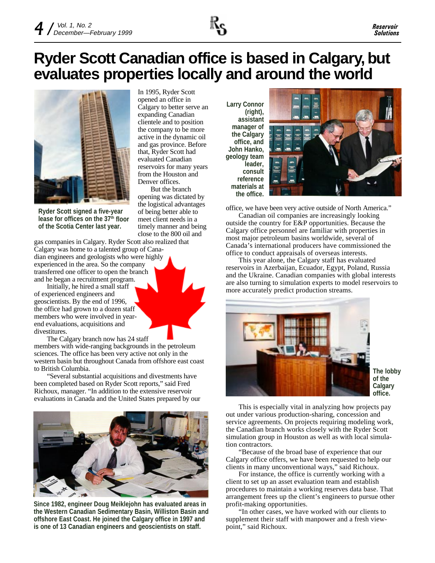## **Ryder Scott Canadian office is based in Calgary, but evaluates properties locally and around the world**

opened an office in

evaluated Canadian

But the branch opening was dictated by the logistical advantages of being better able to meet client needs in a timely manner and being close to the 800 oil and

Denver offices.



**Ryder Scott signed a five-year** lease for offices on the 37<sup>th</sup> floor **of the Scotia Center last year.**

gas companies in Calgary. Ryder Scott also realized that Calgary was home to a talented group of Canadian engineers and geologists who were highly experienced in the area. So the company transferred one officer to open the branch and he began a recruitment program.

Initially, he hired a small staff of experienced engineers and geoscientists. By the end of 1996, the office had grown to a dozen staff members who were involved in yearend evaluations, acquisitions and divestitures.

The Calgary branch now has 24 staff

members with wide-ranging backgrounds in the petroleum sciences. The office has been very active not only in the western basin but throughout Canada from offshore east coast to British Columbia.

"Several substantial acquisitions and divestments have been completed based on Ryder Scott reports," said Fred Richoux, manager. "In addition to the extensive reservoir evaluations in Canada and the United States prepared by our



**Since 1982, engineer Doug Meiklejohn has evaluated areas in the Western Canadian Sedimentary Basin, Williston Basin and offshore East Coast. He joined the Calgary office in 1997 and is one of 13 Canadian engineers and geoscientists on staff.**

In 1995, Ryder Scott Calgary to better serve an expanding Canadian clientele and to position the company to be more active in the dynamic oil and gas province. Before that, Ryder Scott had reservoirs for many years from the Houston and **Larry Connor (right), assistant manager of the Calgary office, and John Hanko, geology team leader, consult reference materials at the office.**



office, we have been very active outside of North America."

Canadian oil companies are increasingly looking outside the country for E&P opportunities. Because the Calgary office personnel are familiar with properties in most major petroleum basins worldwide, several of Canada's international producers have commissioned the office to conduct appraisals of overseas interests.

This year alone, the Calgary staff has evaluated reservoirs in Azerbaijan, Ecuador, Egypt, Poland, Russia and the Ukraine. Canadian companies with global interests are also turning to simulation experts to model reservoirs to more accurately predict production streams.



**The lobby of the Calgary office.**

This is especially vital in analyzing how projects pay out under various production-sharing, concession and service agreements. On projects requiring modeling work, the Canadian branch works closely with the Ryder Scott simulation group in Houston as well as with local simulation contractors.

"Because of the broad base of experience that our Calgary office offers, we have been requested to help our clients in many unconventional ways," said Richoux.

For instance, the office is currently working with a client to set up an asset evaluation team and establish procedures to maintain a working reserves data base. That arrangement frees up the client's engineers to pursue other profit-making opportunities.

"In other cases, we have worked with our clients to supplement their staff with manpower and a fresh viewpoint," said Richoux.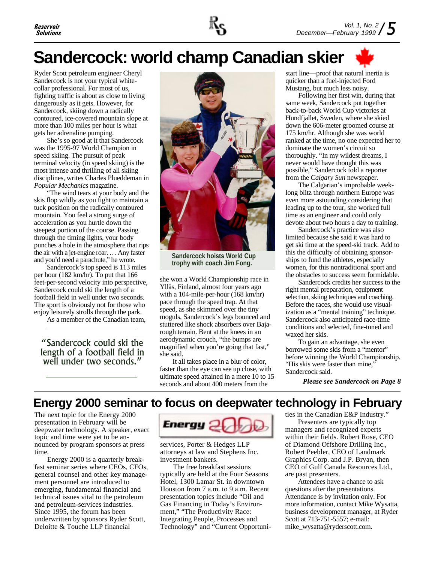

## **Sandercock: world champ Canadian skier**

Ryder Scott petroleum engineer Cheryl Sandercock is not your typical whitecollar professional. For most of us, fighting traffic is about as close to living dangerously as it gets. However, for Sandercock, skiing down a radically contoured, ice-covered mountain slope at more than 100 miles per hour is what gets her adrenaline pumping.

She's so good at it that Sandercock was the 1995-97 World Champion in speed skiing. The pursuit of peak terminal velocity (in speed skiing) is the most intense and thrilling of all skiing disciplines, writes Charles Plueddeman in *Popular Mechanics* magazine.

"The wind tears at your body and the skis flop wildly as you fight to maintain a tuck position on the radically contoured mountain. You feel a strong surge of acceleration as you hurtle down the steepest portion of the course. Passing through the timing lights, your body punches a hole in the atmosphere that rips the air with a jet-engine roar. … Any faster and you'd need a parachute," he wrote.

Sandercock's top speed is 113 miles per hour (182 km/hr). To put that 166 feet-per-second velocity into perspective, Sandercock could ski the length of a football field in well under two seconds. The sport is obviously not for those who enjoy leisurely strolls through the park.

As a member of the Canadian team,

Sandercock could ski the length of a football field in well under two seconds."



**Sandercock hoists World Cup trophy with coach Jim Fong.**

she won a World Championship race in Ylläs, Finland, almost four years ago with a 104-mile-per-hour (168 km/hr) pace through the speed trap. At that speed, as she skimmed over the tiny moguls, Sandercock's legs bounced and stuttered like shock absorbers over Bajarough terrain. Bent at the knees in an aerodynamic crouch, "the bumps are magnified when you're going that fast," she said.

It all takes place in a blur of color, faster than the eye can see up close, with ultimate speed attained in a mere 10 to 15 seconds and about 400 meters from the

start line—proof that natural inertia is quicker than a fuel-injected Ford Mustang, but much less noisy.

Following her first win, during that same week, Sandercock put together back-to-back World Cup victories at Hundfjallet, Sweden, where she skied down the 606-meter groomed course at 175 km/hr. Although she was world ranked at the time, no one expected her to dominate the women's circuit so thoroughly. "In my wildest dreams, I never would have thought this was possible," Sandercock told a reporter from the *Calgary Sun* newspaper.

The Calgarian's improbable weeklong blitz through northern Europe was even more astounding considering that leading up to the tour, she worked full time as an engineer and could only devote about two hours a day to training.

Sandercock's practice was also limited because she said it was hard to get ski time at the speed-ski track. Add to this the difficulty of obtaining sponsorships to fund the athletes, especially women, for this nontraditional sport and the obstacles to success seem formidable.

Sandercock credits her success to the right mental preparation, equipment selection, skiing techniques and coaching. Before the races, she would use visualization as a "mental training" technique. Sandercock also anticipated race-time conditions and selected, fine-tuned and waxed her skis.

To gain an advantage, she even borrowed some skis from a "mentor" before winning the World Championship. "His skis were faster than mine," Sandercock said.

*Please see Sandercock on Page 8*

### **Energy 2000 seminar to focus on deepwater technology in February**

The next topic for the Energy 2000 presentation in February will be deepwater technology. A speaker, exact topic and time were yet to be announced by program sponsors at press time.

Energy 2000 is a quarterly breakfast seminar series where CEOs, CFOs, general counsel and other key management personnel are introduced to emerging, fundamental financial and technical issues vital to the petroleum and petroleum-services industries. Since 1995, the forum has been underwritten by sponsors Ryder Scott, Deloitte & Touche LLP financial



services, Porter & Hedges LLP attorneys at law and Stephens Inc. investment bankers.

The free breakfast sessions typically are held at the Four Seasons Hotel, 1300 Lamar St. in downtown Houston from 7 a.m. to 9 a.m. Recent presentation topics include "Oil and Gas Financing in Today's Environment," "The Productivity Race: Integrating People, Processes and Technology" and "Current Opportunities in the Canadian E&P Industry."

Presenters are typically top managers and recognized experts within their fields. Robert Rose, CEO of Diamond Offshore Drilling Inc., Robert Peebler, CEO of Landmark Graphics Corp. and J.P. Bryan, then CEO of Gulf Canada Resources Ltd., are past presenters.

Attendees have a chance to ask questions after the presentations. Attendance is by invitation only. For more information, contact Mike Wysatta, business development manager, at Ryder Scott at 713-751-5557; e-mail: mike\_wysatta@ryderscott.com.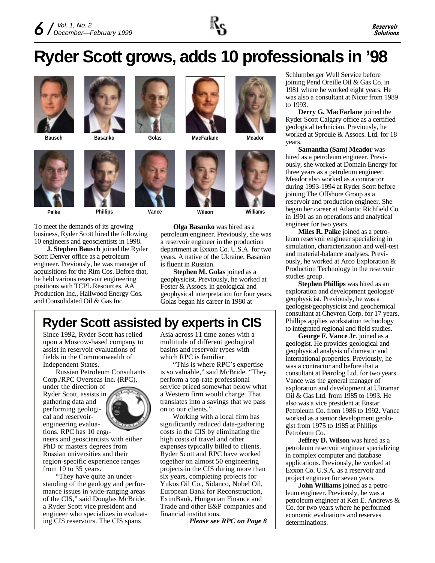

## **Ryder Scott grows, adds 10 professionals in '98**



**Bausch Basanko**





To meet the demands of its growing business, Ryder Scott hired the following 10 engineers and geoscientists in 1998.

**J. Stephen Bausch** joined the Ryder Scott Denver office as a petroleum engineer. Previously, he was manager of acquisitions for the Rim Cos. Before that, he held various reservoir engineering positions with TCPL Resources, AA Production Inc., Hallwood Energy Cos. and Consolidated Oil & Gas Inc.







**Palke Phillips Vance Wilson Williams**

**Olga Basanko** was hired as a petroleum engineer. Previously, she was a reservoir engineer in the production department at Exxon Co. U.S.A. for two years. A native of the Ukraine, Basanko is fluent in Russian.

**Stephen M. Golas** joined as a geophysicist. Previously, he worked at Foster & Assocs. in geological and geophysical interpretation for four years. Golas began his career in 1980 at

### **Ryder Scott assisted by experts in CIS**

Since 1992, Ryder Scott has relied upon a Moscow-based company to assist in reservoir evaluations of fields in the Commonwealth of Independent States.

Russian Petroleum Consultants Corp./RPC Overseas Inc**. (**RPC),

under the direction of Ryder Scott, assists in gathering data and performing geological and reservoirengineering evaluations. RPC has 10 engi-



neers and geoscientists with either PhD or masters degrees from Russian universities and their region-specific experience ranges from 10 to 35 years.

"They have quite an understanding of the geology and performance issues in wide-ranging areas of the CIS," said Douglas McBride, a Ryder Scott vice president and engineer who specializes in evaluating CIS reservoirs. The CIS spans

Asia across 11 time zones with a multitude of different geological basins and reservoir types with which RPC is familiar.

"This is where RPC's expertise is so valuable," said McBride. "They perform a top-rate professional service priced somewhat below what a Western firm would charge. That translates into a savings that we pass on to our clients."

Working with a local firm has significantly reduced data-gathering costs in the CIS by eliminating the high costs of travel and other expenses typically billed to clients. Ryder Scott and RPC have worked together on almost 50 engineering projects in the CIS during more than six years, completing projects for Yukos Oil Co., Sidanco, Nobel Oil, European Bank for Reconstruction, EximBank, Hungarian Finance and Trade and other E&P companies and financial institutions.

*Please see RPC on Page 8*

Schlumberger Well Service before joining Pend Oreille Oil & Gas Co. in 1981 where he worked eight years. He was also a consultant at Nicor from 1989 to 1993.

**Derry G. MacFarlane** joined the Ryder Scott Calgary office as a certified geological technician. Previously, he worked at Sproule & Assocs. Ltd. for 18 years.

**Samantha (Sam) Meador** was hired as a petroleum engineer. Previously, she worked at Domain Energy for three years as a petroleum engineer. Meador also worked as a contractor during 1993-1994 at Ryder Scott before joining The Offshore Group as a reservoir and production engineer. She began her career at Atlantic Richfield Co. in 1991 as an operations and analytical engineer for two years.

**Miles R. Palke** joined as a petroleum reservoir engineer specializing in simulation, characterization and well-test and material-balance analyses. Previously, he worked at Arco Exploration & Production Technology in the reservoir studies group.

**Stephen Phillips** was hired as an exploration and development geologist/ geophysicist. Previously, he was a geologist/geophysicist and geochemical consultant at Chevron Corp. for 17 years. Phillips applies workstation technology to integrated regional and field studies.

**George F. Vance Jr**. joined as a geologist. He provides geological and geophysical analysis of domestic and international properties. Previously, he was a contractor and before that a consultant at Petrolog Ltd. for two years. Vance was the general manager of exploration and development at Ultramar Oil & Gas Ltd. from 1985 to 1993. He also was a vice president at Enstar Petroleum Co. from 1986 to 1992. Vance worked as a senior development geologist from 1975 to 1985 at Phillips Petroleum Co.

**Jeffrey D. Wilson** was hired as a petroleum reservoir engineer specializing in complex computer and database applications. Previously, he worked at Exxon Co. U.S.A. as a reservoir and project engineer for seven years.

**John Williams** joined as a petroleum engineer. Previously, he was a petroleum engineer at Ken E. Andrews & Co. for two years where he performed economic evaluations and reserves determinations.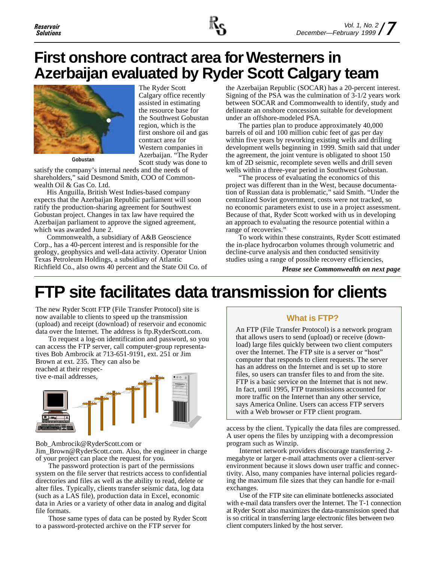

## **First onshore contract area for Westerners in Azerbaijan evaluated by Ryder Scott Calgary team**

The Ryder Scott Calgary office recently assisted in estimating the resource base for the Southwest Gobustan region, which is the first onshore oil and gas contract area for Western companies in Azerbaijan. "The Ryder



**Gobustan**

Scott study was done to satisfy the company's internal needs and the needs of shareholders," said Desmond Smith, COO of Commonwealth Oil & Gas Co. Ltd.

His Anguilla, British West Indies-based company expects that the Azerbaijan Republic parliament will soon ratify the production-sharing agreement for Southwest Gobustan project. Changes in tax law have required the Azerbaijan parliament to approve the signed agreement, which was awarded June 2.

Commonwealth, a subsidiary of A&B Geoscience Corp., has a 40-percent interest and is responsible for the geology, geophysics and well-data activity. Operator Union Texas Petroleum Holdings, a subsidiary of Atlantic Richfield Co., also owns 40 percent and the State Oil Co. of the Azerbaijan Republic (SOCAR) has a 20-percent interest. Signing of the PSA was the culmination of 3-1/2 years work between SOCAR and Commonwealth to identify, study and delineate an onshore concession suitable for development under an offshore-modeled PSA.

The parties plan to produce approximately 40,000 barrels of oil and 100 million cubic feet of gas per day within five years by reworking existing wells and drilling development wells beginning in 1999. Smith said that under the agreement, the joint venture is obligated to shoot 150 km of 2D seismic, recomplete seven wells and drill seven wells within a three-year period in Southwest Gobustan.

"The process of evaluating the economics of this project was different than in the West, because documentation of Russian data is problematic," said Smith. "Under the centralized Soviet government, costs were not tracked, so no economic parameters exist to use in a project assessment. Because of that, Ryder Scott worked with us in developing an approach to evaluating the resource potential within a range of recoveries."

To work within these constraints, Ryder Scott estimated the in-place hydrocarbon volumes through volumetric and decline-curve analysis and then conducted sensitivity studies using a range of possible recovery efficiencies,

*Please see Commonwealth on next page*

## **FTP site facilitates data transmission for clients**

The new Ryder Scott FTP (File Transfer Protocol) site is now available to clients to speed up the transmission (upload) and receipt (download) of reservoir and economic data over the Internet. The address is ftp.RyderScott.com.

To request a log-on identification and password, so you can access the FTP server, call computer-group representatives Bob Ambrocik at 713-651-9191, ext. 251 or Jim Brown at ext. 235. They can also be reached at their respec-



Bob\_Ambrocik@RyderScott.com or

Jim\_Brown@RyderScott.com. Also, the engineer in charge of your project can place the request for you.

The password protection is part of the permissions system on the file server that restricts access to confidential directories and files as well as the ability to read, delete or alter files. Typically, clients transfer seismic data, log data (such as a LAS file), production data in Excel, economic data in Aries or a variety of other data in analog and digital file formats.

Those same types of data can be posted by Ryder Scott to a password-protected archive on the FTP server for

### **What is FTP?**

An FTP (File Transfer Protocol) is a network program that allows users to send (upload) or receive (download) large files quickly between two client computers over the Internet. The FTP site is a server or "host" computer that responds to client requests. The server has an address on the Internet and is set up to store files, so users can transfer files to and from the site. FTP is a basic service on the Internet that is not new. In fact, until 1995, FTP transmissions accounted for more traffic on the Internet than any other service, says America Online. Users can access FTP servers with a Web browser or FTP client program.

access by the client. Typically the data files are compressed. A user opens the files by unzipping with a decompression program such as Winzip.

Internet network providers discourage transferring 2 megabyte or larger e-mail attachments over a client-server environment because it slows down user traffic and connectivity. Also, many companies have internal policies regarding the maximum file sizes that they can handle for e-mail exchanges.

Use of the FTP site can eliminate bottlenecks associated with e-mail data transfers over the Internet. The T-1 connection at Ryder Scott also maximizes the data-transmission speed that is so critical in transferring large electronic files between two client computers linked by the host server.